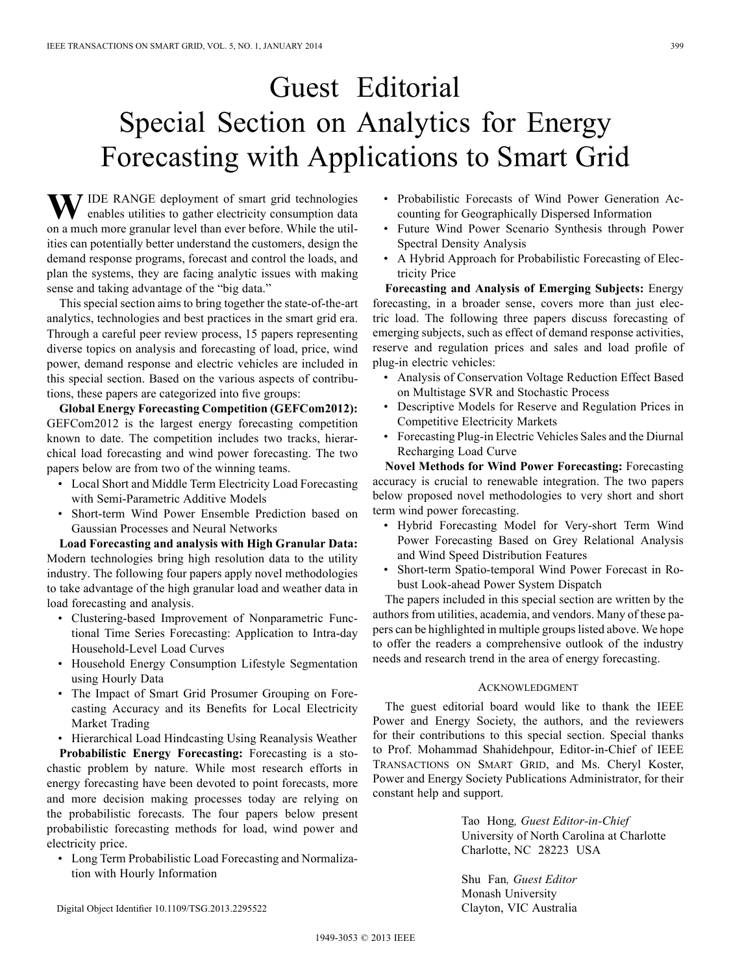## Guest Editorial Special Section on Analytics for Energy Forecasting with Applications to Smart Grid

W IDE RANGE deployment of smart grid technologies enables utilities to gather electricity consumption data on a much more granular level than ever before. While the utilities can potentially better understand the customers, design the demand response programs, forecast and control the loads, and plan the systems, they are facing analytic issues with making sense and taking advantage of the "big data."

This special section aims to bring together the state-of-the-art analytics, technologies and best practices in the smart grid era. Through a careful peer review process, 15 papers representing diverse topics on analysis and forecasting of load, price, wind power, demand response and electric vehicles are included in this special section. Based on the various aspects of contributions, these papers are categorized into five groups:

**Global Energy Forecasting Competition (GEFCom2012):** GEFCom2012 is the largest energy forecasting competition known to date. The competition includes two tracks, hierarchical load forecasting and wind power forecasting. The two papers below are from two of the winning teams.

- Local Short and Middle Term Electricity Load Forecasting with Semi-Parametric Additive Models
- Short-term Wind Power Ensemble Prediction based on Gaussian Processes and Neural Networks

**Load Forecasting and analysis with High Granular Data:** Modern technologies bring high resolution data to the utility industry. The following four papers apply novel methodologies to take advantage of the high granular load and weather data in load forecasting and analysis.

- Clustering-based Improvement of Nonparametric Functional Time Series Forecasting: Application to Intra-day Household-Level Load Curves
- Household Energy Consumption Lifestyle Segmentation using Hourly Data
- The Impact of Smart Grid Prosumer Grouping on Forecasting Accuracy and its Benefits for Local Electricity Market Trading
- Hierarchical Load Hindcasting Using Reanalysis Weather

**Probabilistic Energy Forecasting:** Forecasting is a stochastic problem by nature. While most research efforts in energy forecasting have been devoted to point forecasts, more and more decision making processes today are relying on the probabilistic forecasts. The four papers below present probabilistic forecasting methods for load, wind power and electricity price.

• Long Term Probabilistic Load Forecasting and Normalization with Hourly Information

- Probabilistic Forecasts of Wind Power Generation Accounting for Geographically Dispersed Information
- Future Wind Power Scenario Synthesis through Power Spectral Density Analysis
- A Hybrid Approach for Probabilistic Forecasting of Electricity Price

**Forecasting and Analysis of Emerging Subjects:** Energy forecasting, in a broader sense, covers more than just electric load. The following three papers discuss forecasting of emerging subjects, such as effect of demand response activities, reserve and regulation prices and sales and load profile of plug-in electric vehicles:

- Analysis of Conservation Voltage Reduction Effect Based on Multistage SVR and Stochastic Process
- Descriptive Models for Reserve and Regulation Prices in Competitive Electricity Markets
- Forecasting Plug-in Electric Vehicles Sales and the Diurnal Recharging Load Curve

**Novel Methods for Wind Power Forecasting:** Forecasting accuracy is crucial to renewable integration. The two papers below proposed novel methodologies to very short and short term wind power forecasting.

- Hybrid Forecasting Model for Very-short Term Wind Power Forecasting Based on Grey Relational Analysis and Wind Speed Distribution Features
- Short-term Spatio-temporal Wind Power Forecast in Robust Look-ahead Power System Dispatch

The papers included in this special section are written by the authors from utilities, academia, and vendors. Many of these papers can be highlighted in multiple groups listed above. We hope to offer the readers a comprehensive outlook of the industry needs and research trend in the area of energy forecasting.

## ACKNOWLEDGMENT

The guest editorial board would like to thank the IEEE Power and Energy Society, the authors, and the reviewers for their contributions to this special section. Special thanks to Prof. Mohammad Shahidehpour, Editor-in-Chief of IEEE TRANSACTIONS ON SMART GRID, and Ms. Cheryl Koster, Power and Energy Society Publications Administrator, for their constant help and support.

> Tao Hong*, Guest Editor-in-Chief* University of North Carolina at Charlotte Charlotte, NC 28223 USA

Shu Fan*, Guest Editor* Monash University Clayton, VIC Australia

Digital Object Identifier 10.1109/TSG.2013.2295522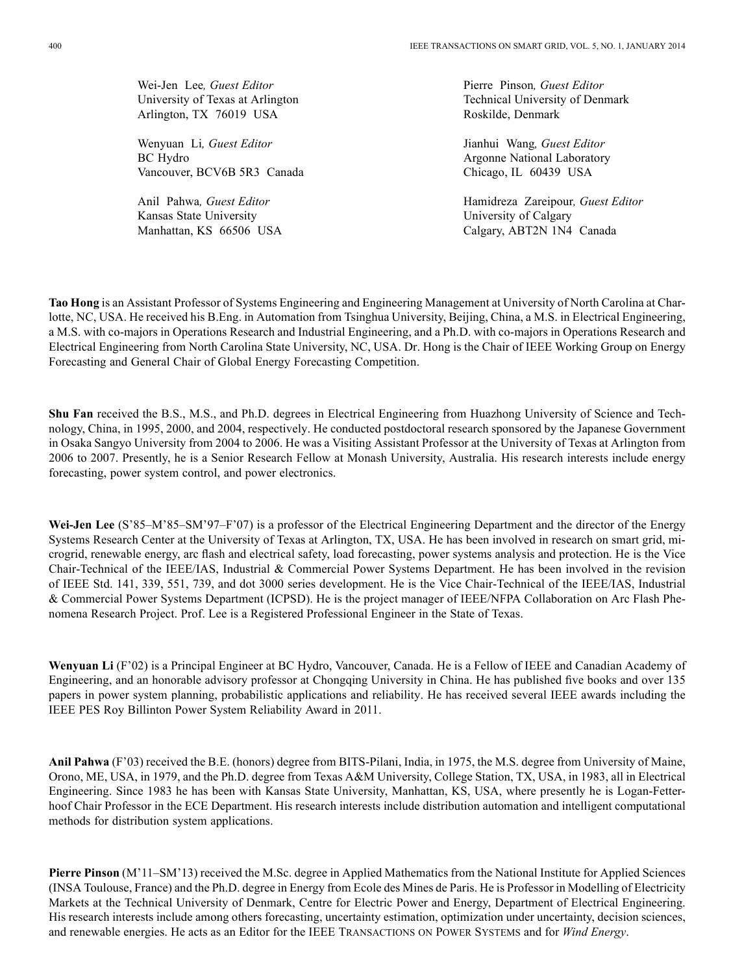Wei-Jen Lee*, Guest Editor* University of Texas at Arlington Arlington, TX 76019 USA

Wenyuan Li*, Guest Editor* BC Hydro Vancouver, BCV6B 5R3 Canada

Anil Pahwa*, Guest Editor* Kansas State University Manhattan, KS 66506 USA Pierre Pinson*, Guest Editor* Technical University of Denmark Roskilde, Denmark

Jianhui Wang*, Guest Editor* Argonne National Laboratory Chicago, IL 60439 USA

Hamidreza Zareipour*, Guest Editor* University of Calgary Calgary, ABT2N 1N4 Canada

**Tao Hong** is an Assistant Professor of Systems Engineering and Engineering Management at University of North Carolina at Charlotte, NC, USA. He received his B.Eng. in Automation from Tsinghua University, Beijing, China, a M.S. in Electrical Engineering, a M.S. with co-majors in Operations Research and Industrial Engineering, and a Ph.D. with co-majors in Operations Research and Electrical Engineering from North Carolina State University, NC, USA. Dr. Hong is the Chair of IEEE Working Group on Energy Forecasting and General Chair of Global Energy Forecasting Competition.

**Shu Fan** received the B.S., M.S., and Ph.D. degrees in Electrical Engineering from Huazhong University of Science and Technology, China, in 1995, 2000, and 2004, respectively. He conducted postdoctoral research sponsored by the Japanese Government in Osaka Sangyo University from 2004 to 2006. He was a Visiting Assistant Professor at the University of Texas at Arlington from 2006 to 2007. Presently, he is a Senior Research Fellow at Monash University, Australia. His research interests include energy forecasting, power system control, and power electronics.

**Wei-Jen Lee** (S'85–M'85–SM'97–F'07) is a professor of the Electrical Engineering Department and the director of the Energy Systems Research Center at the University of Texas at Arlington, TX, USA. He has been involved in research on smart grid, microgrid, renewable energy, arc flash and electrical safety, load forecasting, power systems analysis and protection. He is the Vice Chair-Technical of the IEEE/IAS, Industrial & Commercial Power Systems Department. He has been involved in the revision of IEEE Std. 141, 339, 551, 739, and dot 3000 series development. He is the Vice Chair-Technical of the IEEE/IAS, Industrial & Commercial Power Systems Department (ICPSD). He is the project manager of IEEE/NFPA Collaboration on Arc Flash Phenomena Research Project. Prof. Lee is a Registered Professional Engineer in the State of Texas.

**Wenyuan Li** (F'02) is a Principal Engineer at BC Hydro, Vancouver, Canada. He is a Fellow of IEEE and Canadian Academy of Engineering, and an honorable advisory professor at Chongqing University in China. He has published five books and over 135 papers in power system planning, probabilistic applications and reliability. He has received several IEEE awards including the IEEE PES Roy Billinton Power System Reliability Award in 2011.

**Anil Pahwa** (F'03) received the B.E. (honors) degree from BITS-Pilani, India, in 1975, the M.S. degree from University of Maine, Orono, ME, USA, in 1979, and the Ph.D. degree from Texas A&M University, College Station, TX, USA, in 1983, all in Electrical Engineering. Since 1983 he has been with Kansas State University, Manhattan, KS, USA, where presently he is Logan-Fetterhoof Chair Professor in the ECE Department. His research interests include distribution automation and intelligent computational methods for distribution system applications.

**Pierre Pinson** (M'11–SM'13) received the M.Sc. degree in Applied Mathematics from the National Institute for Applied Sciences (INSA Toulouse, France) and the Ph.D. degree in Energy from Ecole des Mines de Paris. He is Professor in Modelling of Electricity Markets at the Technical University of Denmark, Centre for Electric Power and Energy, Department of Electrical Engineering. His research interests include among others forecasting, uncertainty estimation, optimization under uncertainty, decision sciences, and renewable energies. He acts as an Editor for the IEEE TRANSACTIONS ON POWER SYSTEMS and for *Wind Energy*.